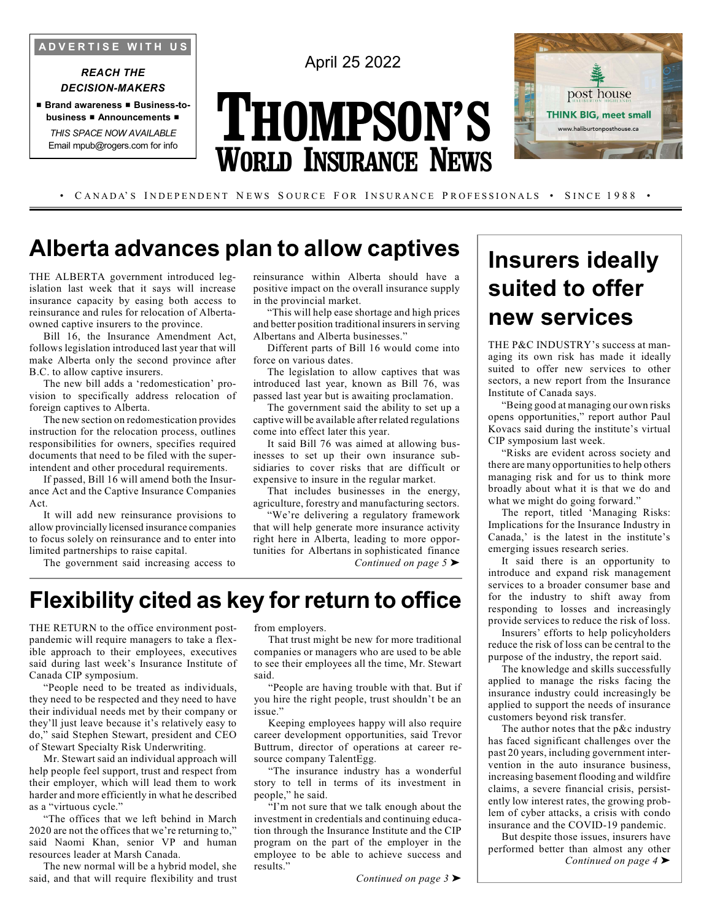

#### *REACH THE DECISION-MAKERS*

■ **Brand awareness** ■ **Business-tobusiness** ■ **Announcements** ■

*THIS SPACE NOW AVAILABLE* Email mpub@rogers.com for info



# **THOMPSON'S WORLD INSURANCE NEWS**



• CANADA'S INDEPENDENT NEWS SOURCE FOR INSURANCE PROFESSIONALS • SINCE 1988 •

# **Alberta advances plan to allow captives**

THE ALBERTA government introduced legislation last week that it says will increase insurance capacity by easing both access to reinsurance and rules for relocation of Albertaowned captive insurers to the province.

Bill 16, the Insurance Amendment Act, follows legislation introduced last year that will make Alberta only the second province after B.C. to allow captive insurers.

The new bill adds a 'redomestication' provision to specifically address relocation of foreign captives to Alberta.

The new section on redomestication provides instruction for the relocation process, outlines responsibilities for owners, specifies required documents that need to be filed with the superintendent and other procedural requirements.

If passed, Bill 16 will amend both the Insurance Act and the Captive Insurance Companies Act.

It will add new reinsurance provisions to allow provincially licensed insurance companies to focus solely on reinsurance and to enter into limited partnerships to raise capital.

The government said increasing access to

reinsurance within Alberta should have a positive impact on the overall insurance supply in the provincial market.

"This will help ease shortage and high prices and better position traditional insurers in serving Albertans and Alberta businesses."

Different parts of Bill 16 would come into force on various dates.

The legislation to allow captives that was introduced last year, known as Bill 76, was passed last year but is awaiting proclamation.

The government said the ability to set up a captive will be available after related regulations come into effect later this year.

It said Bill 76 was aimed at allowing businesses to set up their own insurance subsidiaries to cover risks that are difficult or expensive to insure in the regular market.

That includes businesses in the energy, agriculture, forestry and manufacturing sectors.

"We're delivering a regulatory framework that will help generate more insurance activity right here in Alberta, leading to more opportunities for Albertans in sophisticated finance *Continued on page 5* ➤

# **Flexibility cited as key forreturn to office**

THE RETURN to the office environment postpandemic will require managers to take a flexible approach to their employees, executives said during last week's Insurance Institute of Canada CIP symposium.

"People need to be treated as individuals, they need to be respected and they need to have their individual needs met by their company or they'll just leave because it's relatively easy to do," said Stephen Stewart, president and CEO of Stewart Specialty Risk Underwriting.

Mr. Stewart said an individual approach will help people feel support, trust and respect from their employer, which will lead them to work harder and more efficiently in what he described as a "virtuous cycle."

"The offices that we left behind in March 2020 are not the offices that we're returning to," said Naomi Khan, senior VP and human resources leader at Marsh Canada.

The new normal will be a hybrid model, she said, and that will require flexibility and trust from employers.

That trust might be new for more traditional companies or managers who are used to be able to see their employees all the time, Mr. Stewart said.

"People are having trouble with that. But if you hire the right people, trust shouldn't be an issue."

Keeping employees happy will also require career development opportunities, said Trevor Buttrum, director of operations at career resource company TalentEgg.

"The insurance industry has a wonderful story to tell in terms of its investment in people," he said.

"I'm not sure that we talk enough about the investment in credentials and continuing education through the Insurance Institute and the CIP program on the part of the employer in the employee to be able to achieve success and results."

# **Insurers ideally suited to offer new services**

THE P&C INDUSTRY's success at managing its own risk has made it ideally suited to offer new services to other sectors, a new report from the Insurance Institute of Canada says.

"Being good at managing our own risks opens opportunities," report author Paul Kovacs said during the institute's virtual CIP symposium last week.

"Risks are evident across society and there are many opportunities to help others managing risk and for us to think more broadly about what it is that we do and what we might do going forward."

The report, titled 'Managing Risks: Implications for the Insurance Industry in Canada,' is the latest in the institute's emerging issues research series.

It said there is an opportunity to introduce and expand risk management services to a broader consumer base and for the industry to shift away from responding to losses and increasingly provide services to reduce the risk of loss.

Insurers' efforts to help policyholders reduce the risk of loss can be central to the purpose of the industry, the report said.

The knowledge and skills successfully applied to manage the risks facing the insurance industry could increasingly be applied to support the needs of insurance customers beyond risk transfer.

The author notes that the p&c industry has faced significant challenges over the past 20 years, including government intervention in the auto insurance business, increasing basement flooding and wildfire claims, a severe financial crisis, persistently low interest rates, the growing problem of cyber attacks, a crisis with condo insurance and the COVID-19 pandemic.

But despite those issues, insurers have performed better than almost any other *Continued on page 4* ➤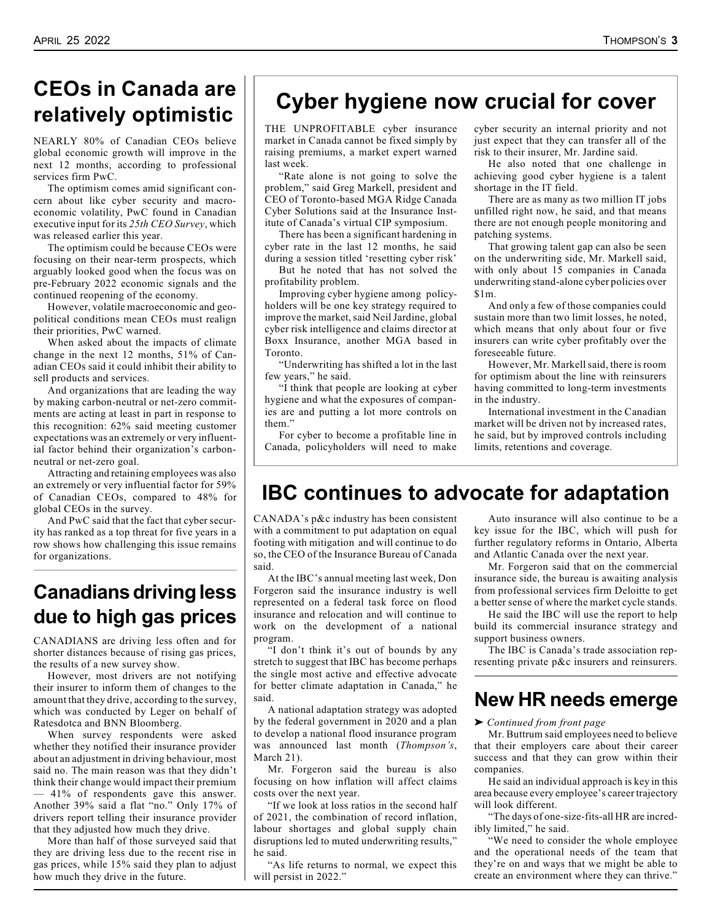### **CEOs in Canada are relatively optimistic**

NEARLY 80% of Canadian CEOs believe global economic growth will improve in the next 12 months, according to professional services firm PwC.

The optimism comes amid significant concern about like cyber security and macroeconomic volatility, PwC found in Canadian executive input for its *25th CEO Survey*, which was released earlier this year.

The optimism could be because CEOs were focusing on their near-term prospects, which arguably looked good when the focus was on pre-February 2022 economic signals and the continued reopening of the economy.

However, volatile macroeconomic and geopolitical conditions mean CEOs must realign their priorities, PwC warned.

When asked about the impacts of climate change in the next 12 months, 51% of Canadian CEOs said it could inhibit their ability to sell products and services.

And organizations that are leading the way by making carbon-neutral or net-zero commitments are acting at least in part in response to this recognition: 62% said meeting customer expectations was an extremely or very influential factor behind their organization's carbonneutral or net-zero goal.

Attracting and retaining employees was also an extremely or very influential factor for 59% of Canadian CEOs, compared to 48% for global CEOs in the survey.

And PwC said that the fact that cyber security has ranked as a top threat for five years in a row shows how challenging this issue remains for organizations.

#### **Canadiansdrivingless due to high gas prices**

CANADIANS are driving less often and for shorter distances because of rising gas prices, the results of a new survey show.

However, most drivers are not notifying their insurer to inform them of changes to the amount that they drive, according to the survey, which was conducted by Leger on behalf of Ratesdotca and BNN Bloomberg.

When survey respondents were asked whether they notified their insurance provider about an adjustment in driving behaviour, most said no. The main reason was that they didn't think their change would impact their premium — 41% of respondents gave this answer. Another 39% said a flat "no." Only 17% of drivers report telling their insurance provider that they adjusted how much they drive.

More than half of those surveyed said that they are driving less due to the recent rise in gas prices, while 15% said they plan to adjust how much they drive in the future.

# **Cyber hygiene now crucial for cover**

THE UNPROFITABLE cyber insurance market in Canada cannot be fixed simply by raising premiums, a market expert warned last week.

"Rate alone is not going to solve the problem," said Greg Markell, president and CEO of Toronto-based MGA Ridge Canada Cyber Solutions said at the Insurance Institute of Canada's virtual CIP symposium.

There has been a significant hardening in cyber rate in the last 12 months, he said during a session titled 'resetting cyber risk'

But he noted that has not solved the profitability problem.

Improving cyber hygiene among policyholders will be one key strategy required to improve the market, said Neil Jardine, global cyber risk intelligence and claims director at Boxx Insurance, another MGA based in Toronto.

"Underwriting has shifted a lot in the last few years," he said.

"I think that people are looking at cyber hygiene and what the exposures of companies are and putting a lot more controls on them.'

For cyber to become a profitable line in Canada, policyholders will need to make

cyber security an internal priority and not just expect that they can transfer all of the risk to their insurer, Mr. Jardine said.

He also noted that one challenge in achieving good cyber hygiene is a talent shortage in the IT field.

There are as many as two million IT jobs unfilled right now, he said, and that means there are not enough people monitoring and patching systems.

That growing talent gap can also be seen on the underwriting side, Mr. Markell said, with only about 15 companies in Canada underwriting stand-alone cyber policies over \$1m.

And only a few of those companies could sustain more than two limit losses, he noted, which means that only about four or five insurers can write cyber profitably over the foreseeable future.

However, Mr. Markell said, there is room for optimism about the line with reinsurers having committed to long-term investments in the industry.

International investment in the Canadian market will be driven not by increased rates, he said, but by improved controls including limits, retentions and coverage.

### **IBC continues to advocate for adaptation**

CANADA's p&c industry has been consistent with a commitment to put adaptation on equal footing with mitigation and will continue to do so, the CEO of the Insurance Bureau of Canada said.

At the IBC's annual meeting last week, Don Forgeron said the insurance industry is well represented on a federal task force on flood insurance and relocation and will continue to work on the development of a national program.

"I don't think it's out of bounds by any stretch to suggest that IBC has become perhaps the single most active and effective advocate for better climate adaptation in Canada," he said.

A national adaptation strategy was adopted by the federal government in 2020 and a plan to develop a national flood insurance program was announced last month (*Thompson's*, March 21).

Mr. Forgeron said the bureau is also focusing on how inflation will affect claims costs over the next year.

"If we look at loss ratios in the second half of 2021, the combination of record inflation, labour shortages and global supply chain disruptions led to muted underwriting results," he said.

"As life returns to normal, we expect this will persist in 2022."

Auto insurance will also continue to be a key issue for the IBC, which will push for further regulatory reforms in Ontario, Alberta and Atlantic Canada over the next year.

Mr. Forgeron said that on the commercial insurance side, the bureau is awaiting analysis from professional services firm Deloitte to get a better sense of where the market cycle stands.

He said the IBC will use the report to help build its commercial insurance strategy and support business owners.

The IBC is Canada's trade association representing private p&c insurers and reinsurers.

#### **New HR needs emerge**

➤ *Continued from front page*

Mr. Buttrum said employees need to believe that their employers care about their career success and that they can grow within their companies.

He said an individual approach is key in this area because every employee's career trajectory will look different.

"The days of one-size-fits-all HR are incredibly limited," he said.

"We need to consider the whole employee and the operational needs of the team that they're on and ways that we might be able to create an environment where they can thrive."